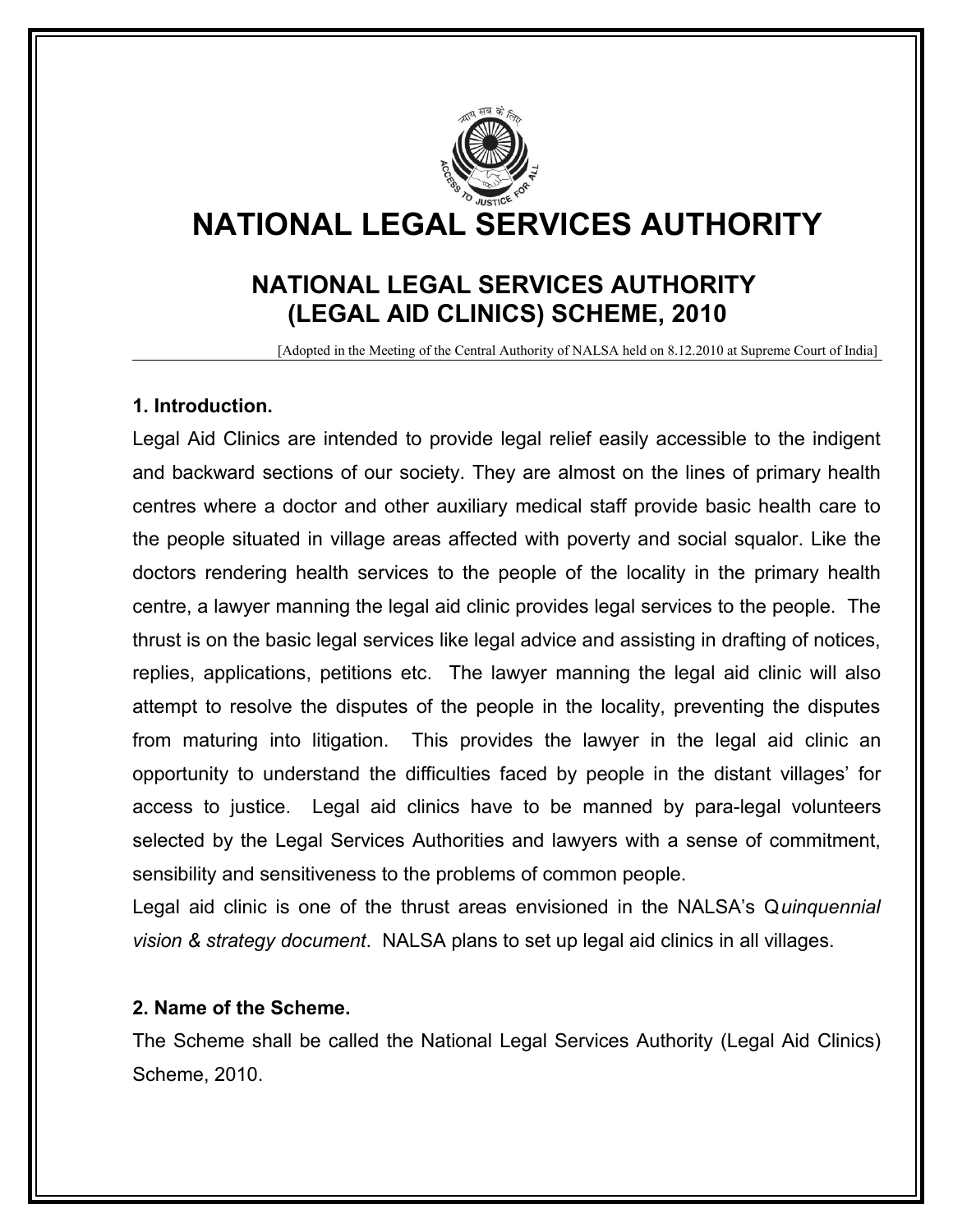

# **NATIONAL LEGAL SERVICES AUTHORITY**

# **NATIONAL LEGAL SERVICES AUTHORITY (LEGAL AID CLINICS) SCHEME, 2010**

[Adopted in the Meeting of the Central Authority of NALSA held on 8.12.2010 at Supreme Court of India]

#### **1. Introduction.**

Legal Aid Clinics are intended to provide legal relief easily accessible to the indigent and backward sections of our society. They are almost on the lines of primary health centres where a doctor and other auxiliary medical staff provide basic health care to the people situated in village areas affected with poverty and social squalor. Like the doctors rendering health services to the people of the locality in the primary health centre, a lawyer manning the legal aid clinic provides legal services to the people. The thrust is on the basic legal services like legal advice and assisting in drafting of notices, replies, applications, petitions etc. The lawyer manning the legal aid clinic will also attempt to resolve the disputes of the people in the locality, preventing the disputes from maturing into litigation. This provides the lawyer in the legal aid clinic an opportunity to understand the difficulties faced by people in the distant villages' for access to justice. Legal aid clinics have to be manned by para-legal volunteers selected by the Legal Services Authorities and lawyers with a sense of commitment, sensibility and sensitiveness to the problems of common people.

Legal aid clinic is one of the thrust areas envisioned in the NALSA's Q*uinquennial vision & strategy document*. NALSA plans to set up legal aid clinics in all villages.

### **2. Name of the Scheme.**

The Scheme shall be called the National Legal Services Authority (Legal Aid Clinics) Scheme, 2010.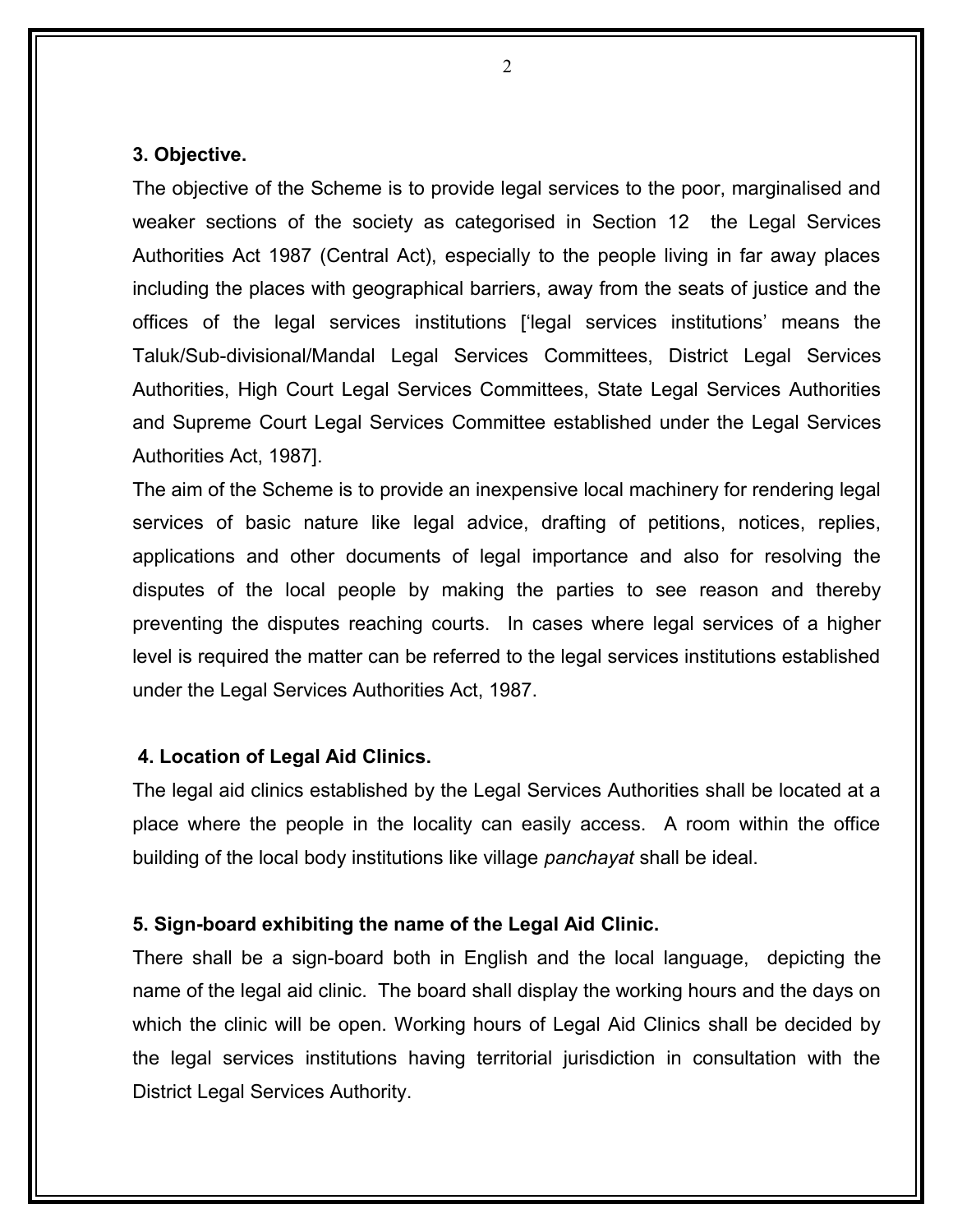#### **3. Objective.**

The objective of the Scheme is to provide legal services to the poor, marginalised and weaker sections of the society as categorised in Section 12 the Legal Services Authorities Act 1987 (Central Act), especially to the people living in far away places including the places with geographical barriers, away from the seats of justice and the offices of the legal services institutions ['legal services institutions' means the Taluk/Sub-divisional/Mandal Legal Services Committees, District Legal Services Authorities, High Court Legal Services Committees, State Legal Services Authorities and Supreme Court Legal Services Committee established under the Legal Services Authorities Act, 1987].

The aim of the Scheme is to provide an inexpensive local machinery for rendering legal services of basic nature like legal advice, drafting of petitions, notices, replies, applications and other documents of legal importance and also for resolving the disputes of the local people by making the parties to see reason and thereby preventing the disputes reaching courts. In cases where legal services of a higher level is required the matter can be referred to the legal services institutions established under the Legal Services Authorities Act, 1987.

#### **4. Location of Legal Aid Clinics.**

The legal aid clinics established by the Legal Services Authorities shall be located at a place where the people in the locality can easily access. A room within the office building of the local body institutions like village *panchayat* shall be ideal.

#### **5. Sign-board exhibiting the name of the Legal Aid Clinic.**

There shall be a sign-board both in English and the local language, depicting the name of the legal aid clinic. The board shall display the working hours and the days on which the clinic will be open. Working hours of Legal Aid Clinics shall be decided by the legal services institutions having territorial jurisdiction in consultation with the District Legal Services Authority.

 $\mathcal{L}$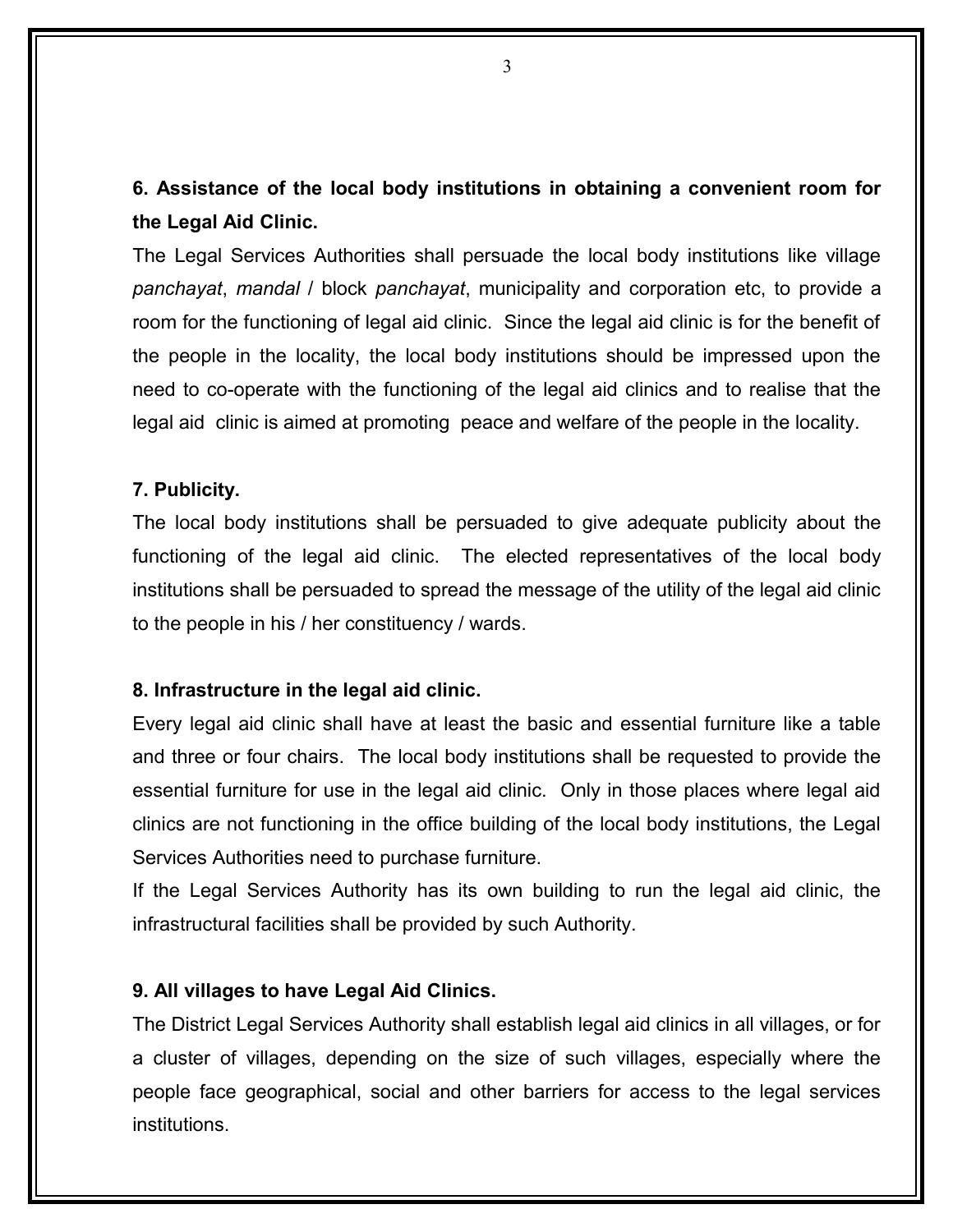**6. Assistance of the local body institutions in obtaining a convenient room for the Legal Aid Clinic.** 

The Legal Services Authorities shall persuade the local body institutions like village *panchayat*, *mandal* / block *panchayat*, municipality and corporation etc, to provide a room for the functioning of legal aid clinic. Since the legal aid clinic is for the benefit of the people in the locality, the local body institutions should be impressed upon the need to co-operate with the functioning of the legal aid clinics and to realise that the legal aid clinic is aimed at promoting peace and welfare of the people in the locality.

#### **7. Publicity.**

The local body institutions shall be persuaded to give adequate publicity about the functioning of the legal aid clinic. The elected representatives of the local body institutions shall be persuaded to spread the message of the utility of the legal aid clinic to the people in his / her constituency / wards.

#### **8. Infrastructure in the legal aid clinic.**

Every legal aid clinic shall have at least the basic and essential furniture like a table and three or four chairs. The local body institutions shall be requested to provide the essential furniture for use in the legal aid clinic. Only in those places where legal aid clinics are not functioning in the office building of the local body institutions, the Legal Services Authorities need to purchase furniture.

If the Legal Services Authority has its own building to run the legal aid clinic, the infrastructural facilities shall be provided by such Authority.

#### **9. All villages to have Legal Aid Clinics.**

The District Legal Services Authority shall establish legal aid clinics in all villages, or for a cluster of villages, depending on the size of such villages, especially where the people face geographical, social and other barriers for access to the legal services institutions.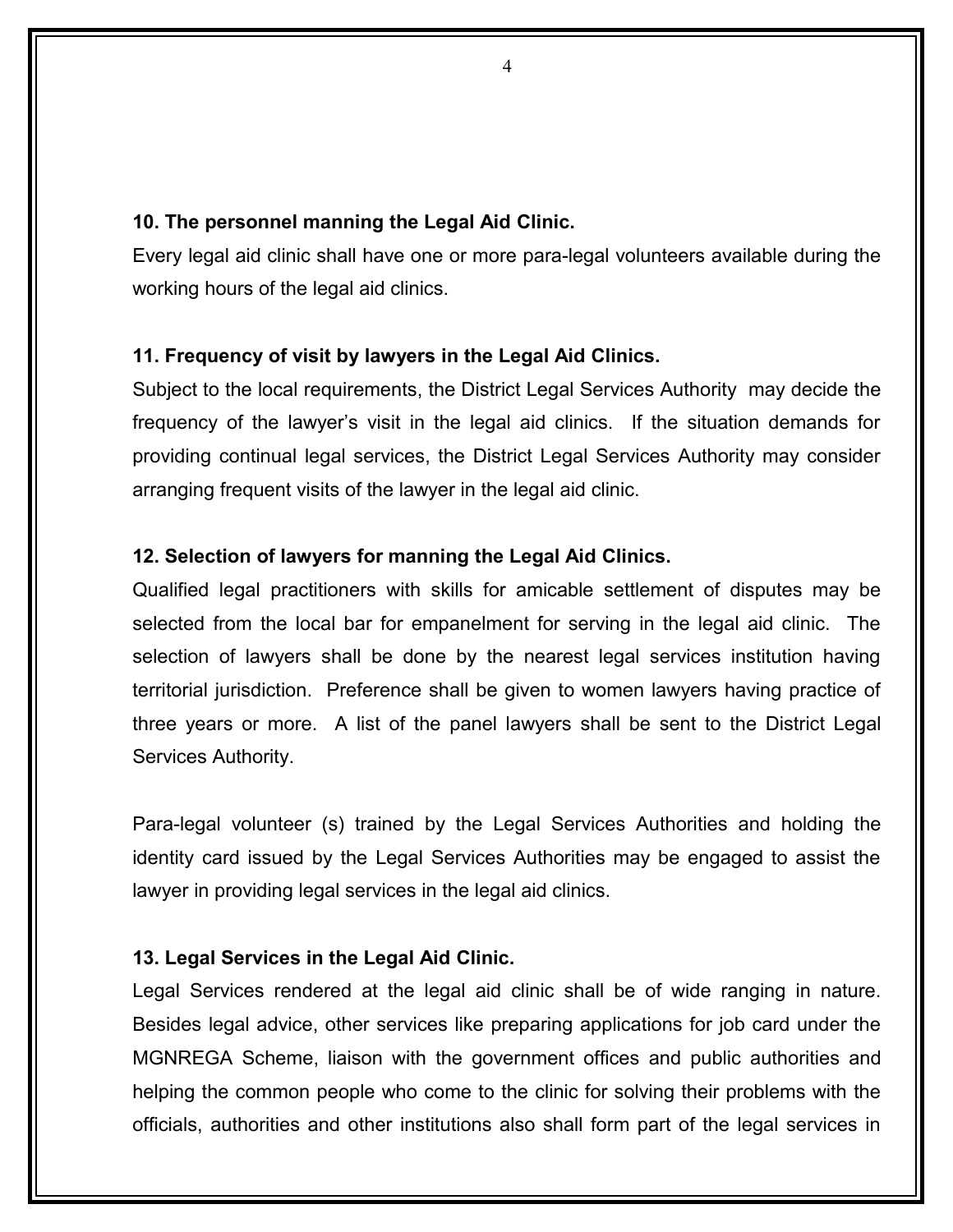#### **10. The personnel manning the Legal Aid Clinic.**

Every legal aid clinic shall have one or more para-legal volunteers available during the working hours of the legal aid clinics.

#### **11. Frequency of visit by lawyers in the Legal Aid Clinics.**

Subject to the local requirements, the District Legal Services Authority may decide the frequency of the lawyer's visit in the legal aid clinics. If the situation demands for providing continual legal services, the District Legal Services Authority may consider arranging frequent visits of the lawyer in the legal aid clinic.

#### **12. Selection of lawyers for manning the Legal Aid Clinics.**

Qualified legal practitioners with skills for amicable settlement of disputes may be selected from the local bar for empanelment for serving in the legal aid clinic. The selection of lawyers shall be done by the nearest legal services institution having territorial jurisdiction. Preference shall be given to women lawyers having practice of three years or more. A list of the panel lawyers shall be sent to the District Legal Services Authority.

Para-legal volunteer (s) trained by the Legal Services Authorities and holding the identity card issued by the Legal Services Authorities may be engaged to assist the lawyer in providing legal services in the legal aid clinics.

#### **13. Legal Services in the Legal Aid Clinic.**

Legal Services rendered at the legal aid clinic shall be of wide ranging in nature. Besides legal advice, other services like preparing applications for job card under the MGNREGA Scheme, liaison with the government offices and public authorities and helping the common people who come to the clinic for solving their problems with the officials, authorities and other institutions also shall form part of the legal services in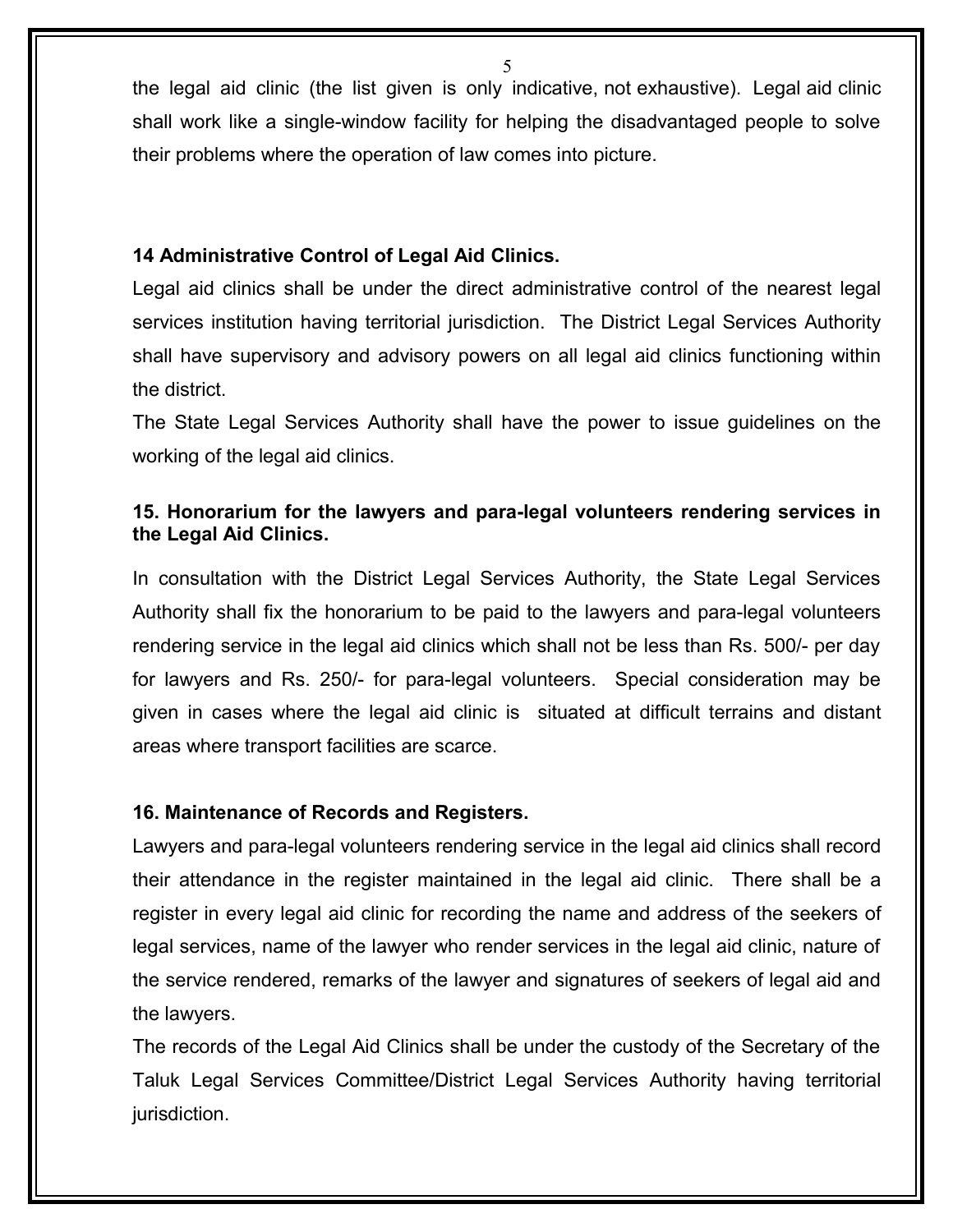the legal aid clinic (the list given is only indicative, not exhaustive). Legal aid clinic shall work like a single-window facility for helping the disadvantaged people to solve their problems where the operation of law comes into picture.

#### **14 Administrative Control of Legal Aid Clinics.**

Legal aid clinics shall be under the direct administrative control of the nearest legal services institution having territorial jurisdiction. The District Legal Services Authority shall have supervisory and advisory powers on all legal aid clinics functioning within the district.

The State Legal Services Authority shall have the power to issue guidelines on the working of the legal aid clinics.

# **15. Honorarium for the lawyers and para-legal volunteers rendering services in the Legal Aid Clinics.**

In consultation with the District Legal Services Authority, the State Legal Services Authority shall fix the honorarium to be paid to the lawyers and para-legal volunteers rendering service in the legal aid clinics which shall not be less than Rs. 500/- per day for lawyers and Rs. 250/- for para-legal volunteers. Special consideration may be given in cases where the legal aid clinic is situated at difficult terrains and distant areas where transport facilities are scarce.

### **16. Maintenance of Records and Registers.**

Lawyers and para-legal volunteers rendering service in the legal aid clinics shall record their attendance in the register maintained in the legal aid clinic. There shall be a register in every legal aid clinic for recording the name and address of the seekers of legal services, name of the lawyer who render services in the legal aid clinic, nature of the service rendered, remarks of the lawyer and signatures of seekers of legal aid and the lawyers.

The records of the Legal Aid Clinics shall be under the custody of the Secretary of the Taluk Legal Services Committee/District Legal Services Authority having territorial jurisdiction.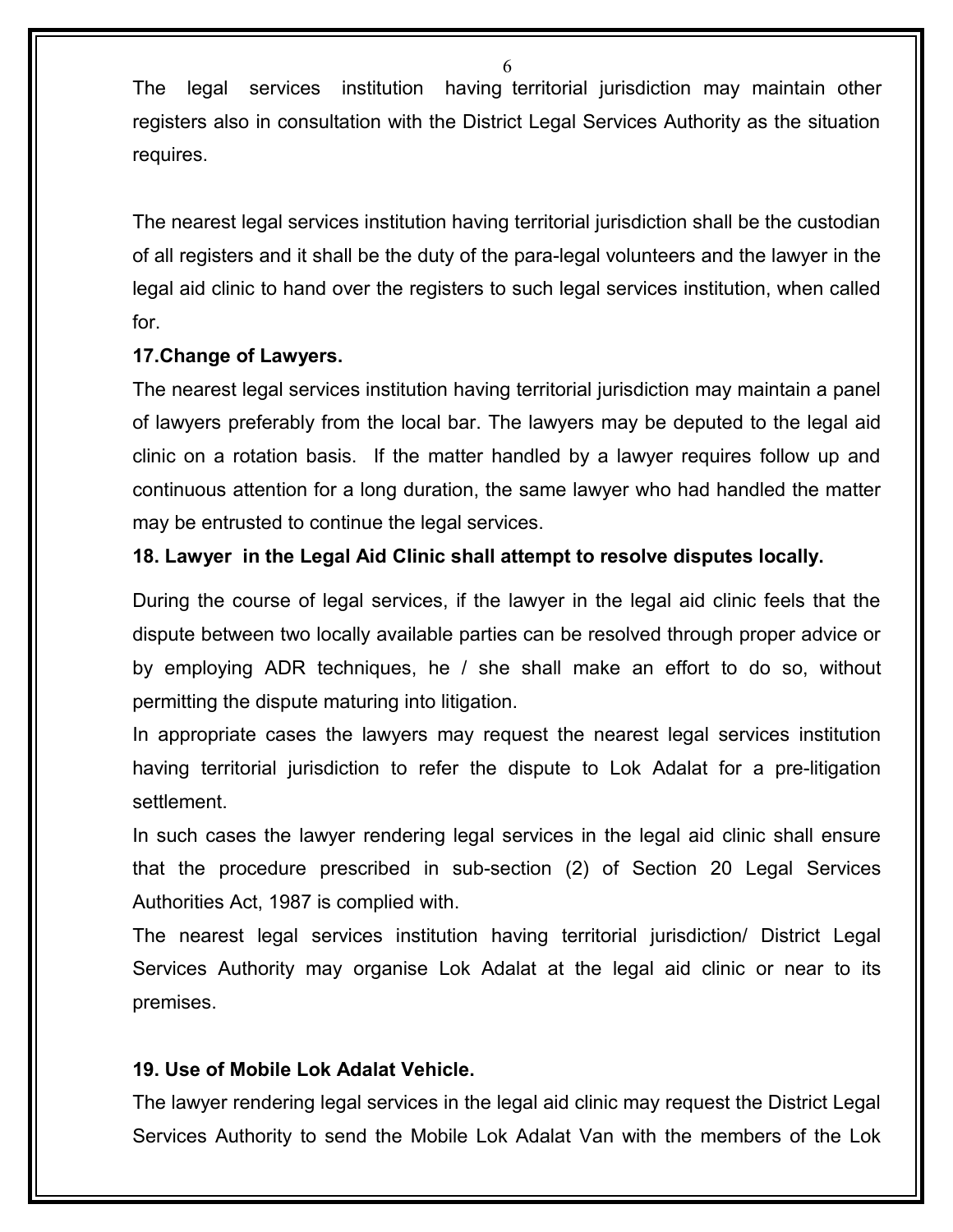The legal services institution having territorial jurisdiction may maintain other registers also in consultation with the District Legal Services Authority as the situation requires.

The nearest legal services institution having territorial jurisdiction shall be the custodian of all registers and it shall be the duty of the para-legal volunteers and the lawyer in the legal aid clinic to hand over the registers to such legal services institution, when called for.

# **17.Change of Lawyers.**

The nearest legal services institution having territorial jurisdiction may maintain a panel of lawyers preferably from the local bar. The lawyers may be deputed to the legal aid clinic on a rotation basis. If the matter handled by a lawyer requires follow up and continuous attention for a long duration, the same lawyer who had handled the matter may be entrusted to continue the legal services.

# **18. Lawyer in the Legal Aid Clinic shall attempt to resolve disputes locally.**

During the course of legal services, if the lawyer in the legal aid clinic feels that the dispute between two locally available parties can be resolved through proper advice or by employing ADR techniques, he / she shall make an effort to do so, without permitting the dispute maturing into litigation.

In appropriate cases the lawyers may request the nearest legal services institution having territorial jurisdiction to refer the dispute to Lok Adalat for a pre-litigation settlement.

In such cases the lawyer rendering legal services in the legal aid clinic shall ensure that the procedure prescribed in sub-section (2) of Section 20 Legal Services Authorities Act, 1987 is complied with.

The nearest legal services institution having territorial jurisdiction/ District Legal Services Authority may organise Lok Adalat at the legal aid clinic or near to its premises.

### **19. Use of Mobile Lok Adalat Vehicle.**

The lawyer rendering legal services in the legal aid clinic may request the District Legal Services Authority to send the Mobile Lok Adalat Van with the members of the Lok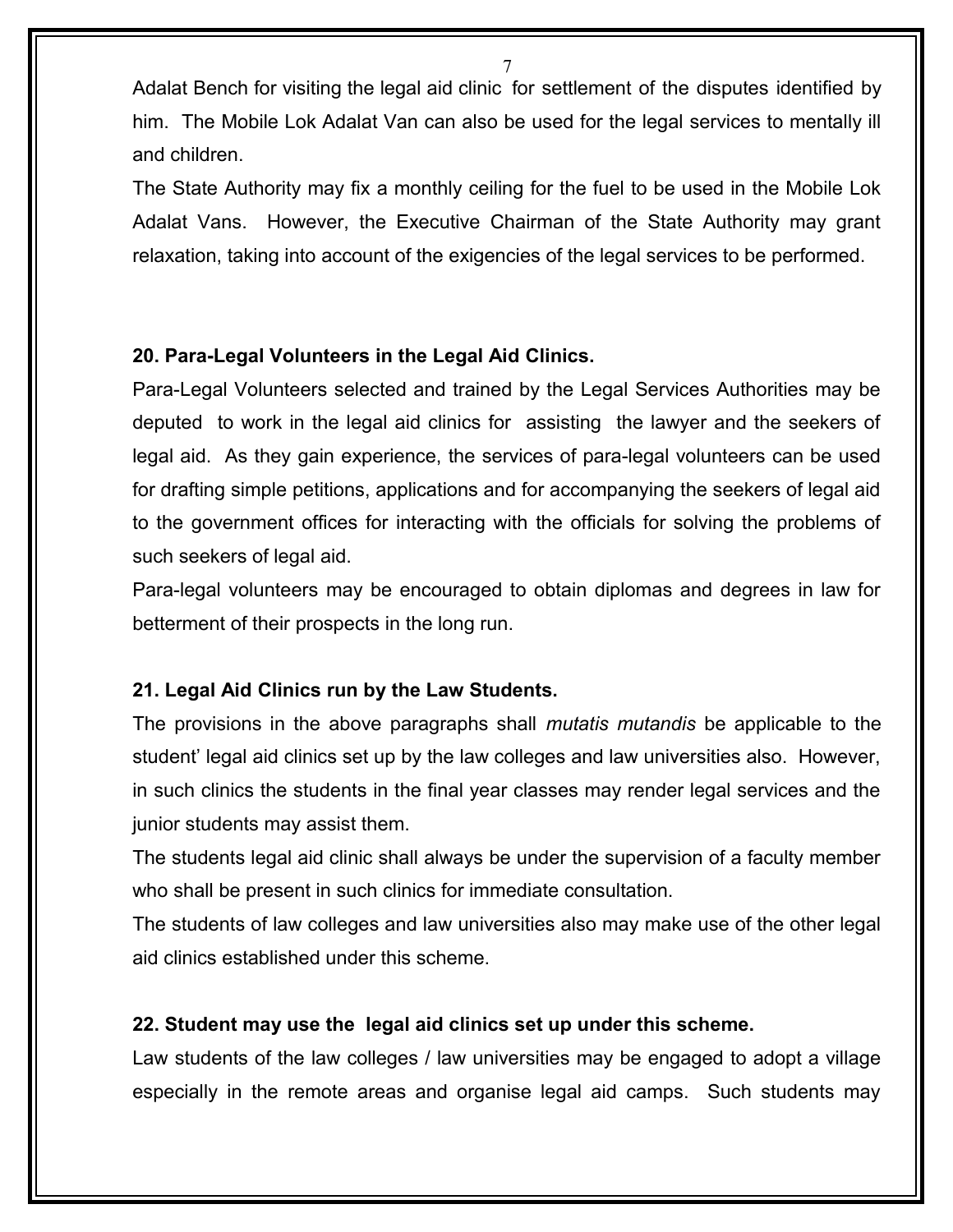Adalat Bench for visiting the legal aid clinic for settlement of the disputes identified by him. The Mobile Lok Adalat Van can also be used for the legal services to mentally ill and children.

The State Authority may fix a monthly ceiling for the fuel to be used in the Mobile Lok Adalat Vans. However, the Executive Chairman of the State Authority may grant relaxation, taking into account of the exigencies of the legal services to be performed.

# **20. Para-Legal Volunteers in the Legal Aid Clinics.**

Para-Legal Volunteers selected and trained by the Legal Services Authorities may be deputed to work in the legal aid clinics for assisting the lawyer and the seekers of legal aid. As they gain experience, the services of para-legal volunteers can be used for drafting simple petitions, applications and for accompanying the seekers of legal aid to the government offices for interacting with the officials for solving the problems of such seekers of legal aid.

Para-legal volunteers may be encouraged to obtain diplomas and degrees in law for betterment of their prospects in the long run.

# **21. Legal Aid Clinics run by the Law Students.**

The provisions in the above paragraphs shall *mutatis mutandis* be applicable to the student' legal aid clinics set up by the law colleges and law universities also. However, in such clinics the students in the final year classes may render legal services and the junior students may assist them.

The students legal aid clinic shall always be under the supervision of a faculty member who shall be present in such clinics for immediate consultation.

The students of law colleges and law universities also may make use of the other legal aid clinics established under this scheme.

### **22. Student may use the legal aid clinics set up under this scheme.**

Law students of the law colleges / law universities may be engaged to adopt a village especially in the remote areas and organise legal aid camps. Such students may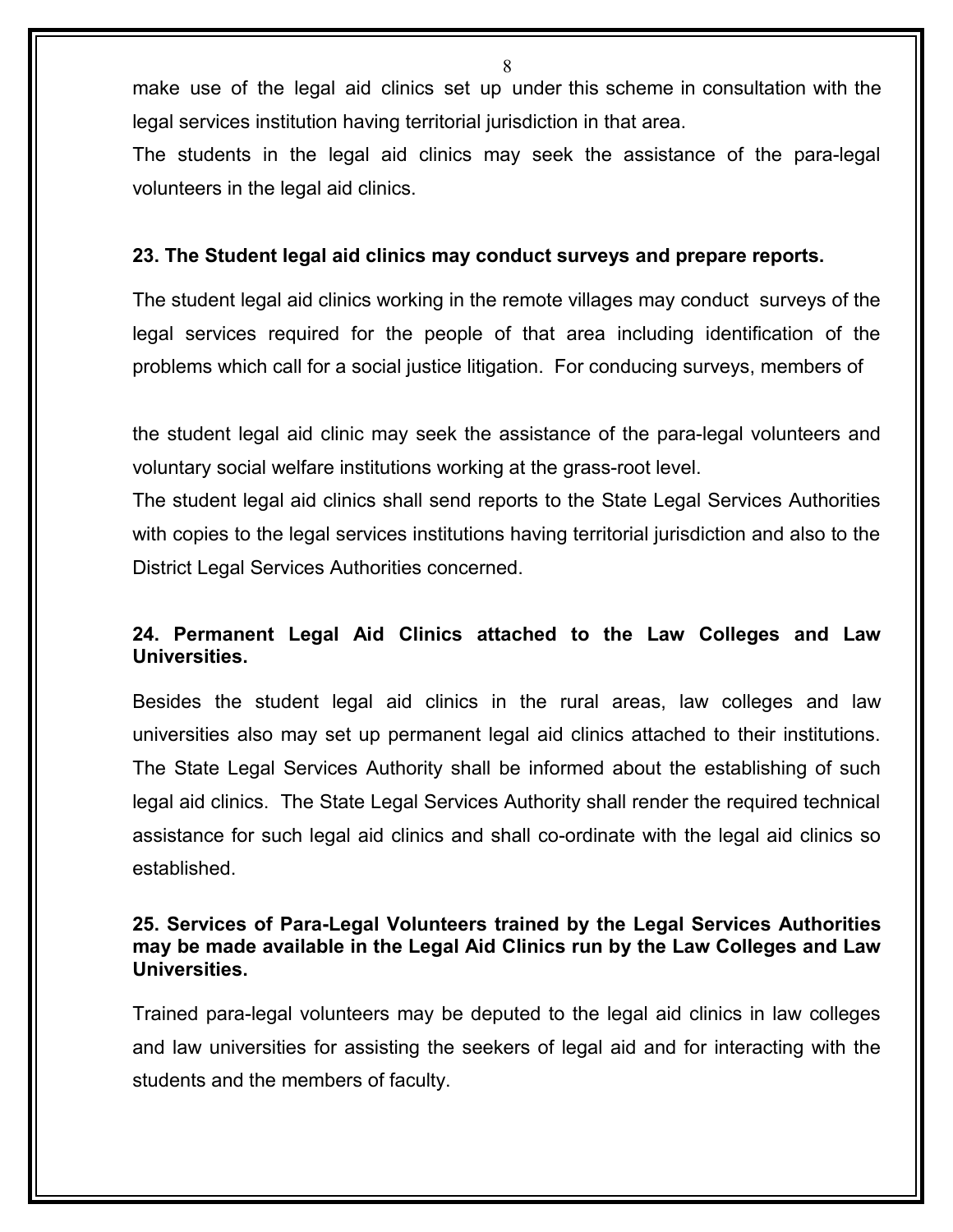make use of the legal aid clinics set up under this scheme in consultation with the legal services institution having territorial jurisdiction in that area.

The students in the legal aid clinics may seek the assistance of the para-legal volunteers in the legal aid clinics.

#### **23. The Student legal aid clinics may conduct surveys and prepare reports.**

The student legal aid clinics working in the remote villages may conduct surveys of the legal services required for the people of that area including identification of the problems which call for a social justice litigation. For conducing surveys, members of

the student legal aid clinic may seek the assistance of the para-legal volunteers and voluntary social welfare institutions working at the grass-root level.

The student legal aid clinics shall send reports to the State Legal Services Authorities with copies to the legal services institutions having territorial jurisdiction and also to the District Legal Services Authorities concerned.

# **24. Permanent Legal Aid Clinics attached to the Law Colleges and Law Universities.**

Besides the student legal aid clinics in the rural areas, law colleges and law universities also may set up permanent legal aid clinics attached to their institutions. The State Legal Services Authority shall be informed about the establishing of such legal aid clinics. The State Legal Services Authority shall render the required technical assistance for such legal aid clinics and shall co-ordinate with the legal aid clinics so established.

#### **25. Services of Para-Legal Volunteers trained by the Legal Services Authorities may be made available in the Legal Aid Clinics run by the Law Colleges and Law Universities.**

Trained para-legal volunteers may be deputed to the legal aid clinics in law colleges and law universities for assisting the seekers of legal aid and for interacting with the students and the members of faculty.